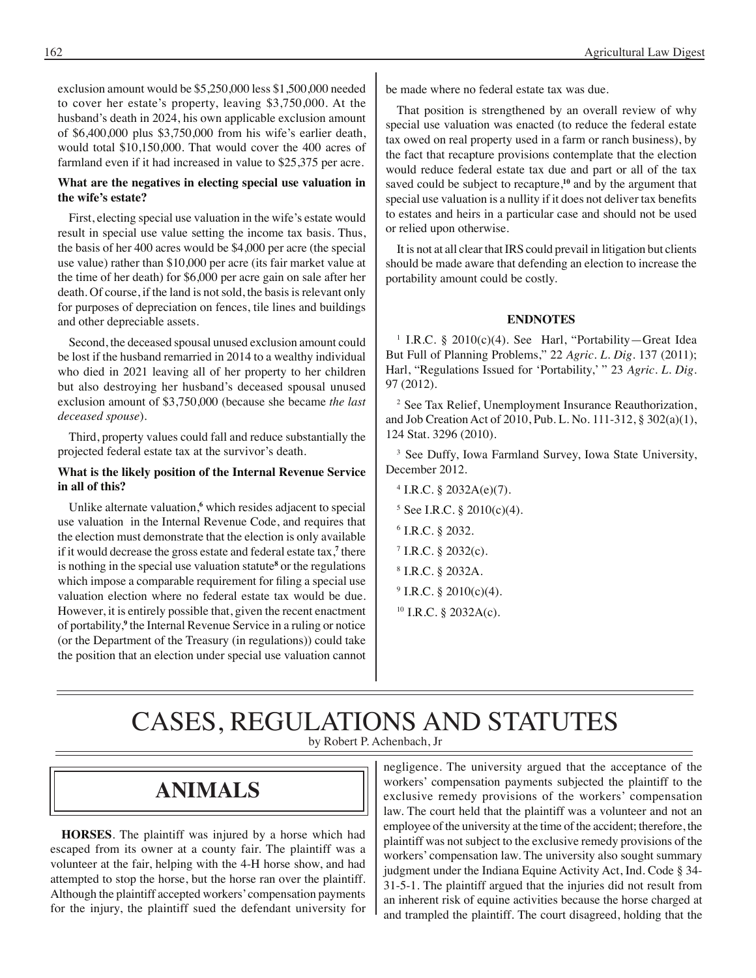exclusion amount would be \$5,250,000 less \$1,500,000 needed to cover her estate's property, leaving \$3,750,000. At the husband's death in 2024, his own applicable exclusion amount of \$6,400,000 plus \$3,750,000 from his wife's earlier death, would total \$10,150,000. That would cover the 400 acres of farmland even if it had increased in value to \$25,375 per acre.

#### **What are the negatives in electing special use valuation in the wife's estate?**

First, electing special use valuation in the wife's estate would result in special use value setting the income tax basis. Thus, the basis of her 400 acres would be \$4,000 per acre (the special use value) rather than \$10,000 per acre (its fair market value at the time of her death) for \$6,000 per acre gain on sale after her death. Of course, if the land is not sold, the basis is relevant only for purposes of depreciation on fences, tile lines and buildings and other depreciable assets.

Second, the deceased spousal unused exclusion amount could be lost if the husband remarried in 2014 to a wealthy individual who died in 2021 leaving all of her property to her children but also destroying her husband's deceased spousal unused exclusion amount of \$3,750,000 (because she became *the last deceased spouse*).

Third, property values could fall and reduce substantially the projected federal estate tax at the survivor's death.

#### **What is the likely position of the Internal Revenue Service in all of this?**

Unlike alternate valuation,**<sup>6</sup>** which resides adjacent to special use valuation in the Internal Revenue Code, and requires that the election must demonstrate that the election is only available if it would decrease the gross estate and federal estate tax,<sup>7</sup> there is nothing in the special use valuation statute<sup>8</sup> or the regulations which impose a comparable requirement for filing a special use valuation election where no federal estate tax would be due. However, it is entirely possible that, given the recent enactment of portability,<sup>9</sup> the Internal Revenue Service in a ruling or notice (or the Department of the Treasury (in regulations)) could take the position that an election under special use valuation cannot

be made where no federal estate tax was due.

That position is strengthened by an overall review of why special use valuation was enacted (to reduce the federal estate tax owed on real property used in a farm or ranch business), by the fact that recapture provisions contemplate that the election would reduce federal estate tax due and part or all of the tax saved could be subject to recapture,**<sup>10</sup>** and by the argument that special use valuation is a nullity if it does not deliver tax benefits to estates and heirs in a particular case and should not be used or relied upon otherwise.

It is not at all clear that IRS could prevail in litigation but clients should be made aware that defending an election to increase the portability amount could be costly.

#### **ENDNOTES**

1 I.R.C. § 2010(c)(4). See Harl, "Portability—Great Idea But Full of Planning Problems," 22 *Agric. L. Dig*. 137 (2011); Harl, "Regulations Issued for 'Portability,' " 23 *Agric. L. Dig*. 97 (2012).

2 See Tax Relief, Unemployment Insurance Reauthorization, and Job Creation Act of 2010, Pub. L. No. 111-312, § 302(a)(1), 124 Stat. 3296 (2010).

<sup>3</sup> See Duffy, Iowa Farmland Survey, Iowa State University, December 2012.

- $4$  I.R.C. § 2032A(e)(7).
- $5$  See I.R.C. § 2010(c)(4).
- 6 I.R.C. § 2032.
- $7$  I.R.C. § 2032(c).
- 8 I.R.C. § 2032A.
- $9$  I.R.C. § 2010(c)(4).
- 10 I.R.C. § 2032A(c).

### CASES, REGULATIONS AND STATUTES by Robert P. Achenbach, Jr

### **animals**

**HORSES**. The plaintiff was injured by a horse which had escaped from its owner at a county fair. The plaintiff was a volunteer at the fair, helping with the 4-H horse show, and had attempted to stop the horse, but the horse ran over the plaintiff. Although the plaintiff accepted workers' compensation payments for the injury, the plaintiff sued the defendant university for negligence. The university argued that the acceptance of the workers' compensation payments subjected the plaintiff to the exclusive remedy provisions of the workers' compensation law. The court held that the plaintiff was a volunteer and not an employee of the university at the time of the accident; therefore, the plaintiff was not subject to the exclusive remedy provisions of the workers' compensation law. The university also sought summary judgment under the Indiana Equine Activity Act, Ind. Code § 34- 31-5-1. The plaintiff argued that the injuries did not result from an inherent risk of equine activities because the horse charged at and trampled the plaintiff. The court disagreed, holding that the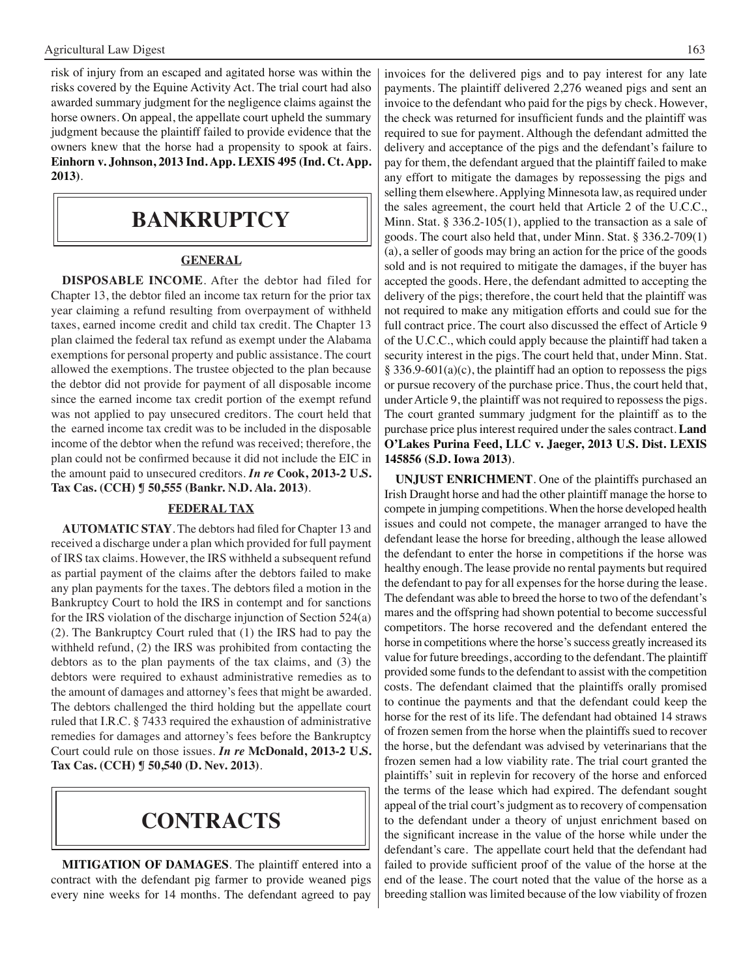risk of injury from an escaped and agitated horse was within the risks covered by the Equine Activity Act. The trial court had also awarded summary judgment for the negligence claims against the horse owners. On appeal, the appellate court upheld the summary judgment because the plaintiff failed to provide evidence that the owners knew that the horse had a propensity to spook at fairs. **Einhorn v. Johnson, 2013 Ind. App. LEXIS 495 (Ind. Ct. App. 2013)**.

### **bankruptcy**

#### **GENERAL**

**DISPOSABLE INCOME**. After the debtor had filed for Chapter 13, the debtor filed an income tax return for the prior tax year claiming a refund resulting from overpayment of withheld taxes, earned income credit and child tax credit. The Chapter 13 plan claimed the federal tax refund as exempt under the Alabama exemptions for personal property and public assistance. The court allowed the exemptions. The trustee objected to the plan because the debtor did not provide for payment of all disposable income since the earned income tax credit portion of the exempt refund was not applied to pay unsecured creditors. The court held that the earned income tax credit was to be included in the disposable income of the debtor when the refund was received; therefore, the plan could not be confirmed because it did not include the EIC in the amount paid to unsecured creditors. *In re* **Cook, 2013-2 U.S. Tax Cas. (CCH) ¶ 50,555 (Bankr. N.D. Ala. 2013)**.

#### **FEDERAL TAX**

**AUTOMATIC STAY**. The debtors had filed for Chapter 13 and received a discharge under a plan which provided for full payment of IRS tax claims. However, the IRS withheld a subsequent refund as partial payment of the claims after the debtors failed to make any plan payments for the taxes. The debtors filed a motion in the Bankruptcy Court to hold the IRS in contempt and for sanctions for the IRS violation of the discharge injunction of Section 524(a) (2). The Bankruptcy Court ruled that (1) the IRS had to pay the withheld refund, (2) the IRS was prohibited from contacting the debtors as to the plan payments of the tax claims, and (3) the debtors were required to exhaust administrative remedies as to the amount of damages and attorney's fees that might be awarded. The debtors challenged the third holding but the appellate court ruled that I.R.C. § 7433 required the exhaustion of administrative remedies for damages and attorney's fees before the Bankruptcy Court could rule on those issues. *In re* **McDonald, 2013-2 U.S. Tax Cas. (CCH) ¶ 50,540 (D. Nev. 2013)**.

### **contracts**

**MITIGATION OF DAMAGES**. The plaintiff entered into a contract with the defendant pig farmer to provide weaned pigs every nine weeks for 14 months. The defendant agreed to pay

invoices for the delivered pigs and to pay interest for any late payments. The plaintiff delivered 2,276 weaned pigs and sent an invoice to the defendant who paid for the pigs by check. However, the check was returned for insufficient funds and the plaintiff was required to sue for payment. Although the defendant admitted the delivery and acceptance of the pigs and the defendant's failure to pay for them, the defendant argued that the plaintiff failed to make any effort to mitigate the damages by repossessing the pigs and selling them elsewhere. Applying Minnesota law, as required under the sales agreement, the court held that Article 2 of the U.C.C., Minn. Stat. § 336.2-105(1), applied to the transaction as a sale of goods. The court also held that, under Minn. Stat. § 336.2-709(1) (a), a seller of goods may bring an action for the price of the goods sold and is not required to mitigate the damages, if the buyer has accepted the goods. Here, the defendant admitted to accepting the delivery of the pigs; therefore, the court held that the plaintiff was not required to make any mitigation efforts and could sue for the full contract price. The court also discussed the effect of Article 9 of the U.C.C., which could apply because the plaintiff had taken a security interest in the pigs. The court held that, under Minn. Stat. § 336.9-601(a)(c), the plaintiff had an option to repossess the pigs or pursue recovery of the purchase price. Thus, the court held that, under Article 9, the plaintiff was not required to repossess the pigs. The court granted summary judgment for the plaintiff as to the purchase price plus interest required under the sales contract. **Land O'Lakes Purina Feed, LLC v. Jaeger, 2013 U.S. Dist. LEXIS 145856 (S.D. Iowa 2013)**.

**UNJUST ENRICHMENT**. One of the plaintiffs purchased an Irish Draught horse and had the other plaintiff manage the horse to compete in jumping competitions. When the horse developed health issues and could not compete, the manager arranged to have the defendant lease the horse for breeding, although the lease allowed the defendant to enter the horse in competitions if the horse was healthy enough. The lease provide no rental payments but required the defendant to pay for all expenses for the horse during the lease. The defendant was able to breed the horse to two of the defendant's mares and the offspring had shown potential to become successful competitors. The horse recovered and the defendant entered the horse in competitions where the horse's success greatly increased its value for future breedings, according to the defendant. The plaintiff provided some funds to the defendant to assist with the competition costs. The defendant claimed that the plaintiffs orally promised to continue the payments and that the defendant could keep the horse for the rest of its life. The defendant had obtained 14 straws of frozen semen from the horse when the plaintiffs sued to recover the horse, but the defendant was advised by veterinarians that the frozen semen had a low viability rate. The trial court granted the plaintiffs' suit in replevin for recovery of the horse and enforced the terms of the lease which had expired. The defendant sought appeal of the trial court's judgment as to recovery of compensation to the defendant under a theory of unjust enrichment based on the significant increase in the value of the horse while under the defendant's care. The appellate court held that the defendant had failed to provide sufficient proof of the value of the horse at the end of the lease. The court noted that the value of the horse as a breeding stallion was limited because of the low viability of frozen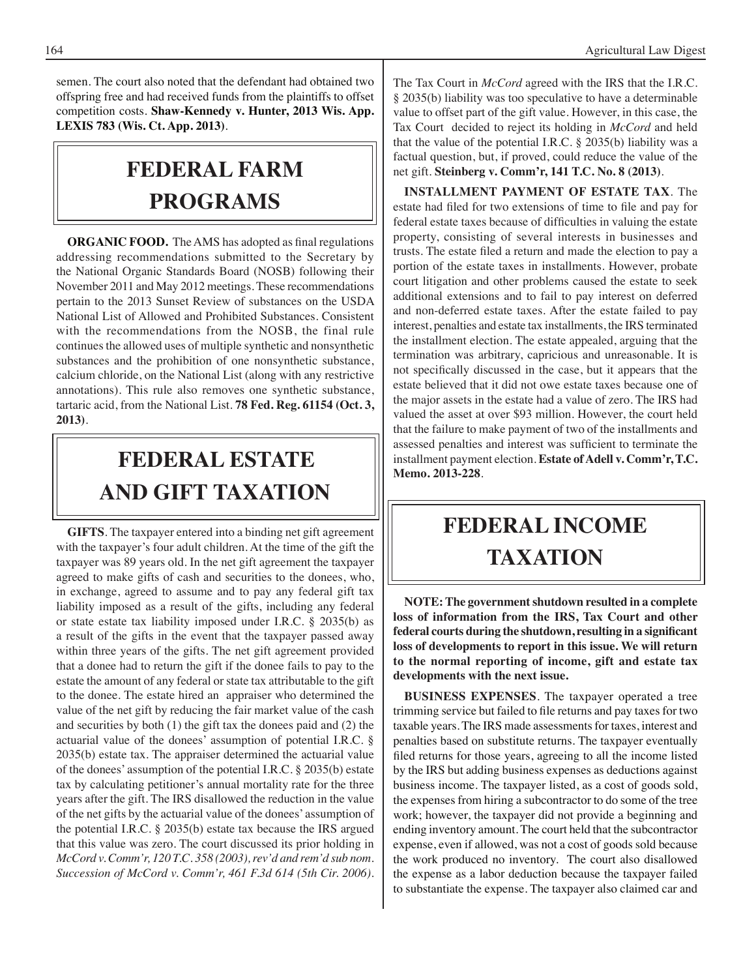semen. The court also noted that the defendant had obtained two offspring free and had received funds from the plaintiffs to offset competition costs. **Shaw-Kennedy v. Hunter, 2013 Wis. App. LEXIS 783 (Wis. Ct. App. 2013)**.

## **FEDERAL Farm programs**

**ORGANIC FOOD.** The AMS has adopted as final regulations addressing recommendations submitted to the Secretary by the National Organic Standards Board (NOSB) following their November 2011 and May 2012 meetings. These recommendations pertain to the 2013 Sunset Review of substances on the USDA National List of Allowed and Prohibited Substances. Consistent with the recommendations from the NOSB, the final rule continues the allowed uses of multiple synthetic and nonsynthetic substances and the prohibition of one nonsynthetic substance, calcium chloride, on the National List (along with any restrictive annotations). This rule also removes one synthetic substance, tartaric acid, from the National List. **78 Fed. Reg. 61154 (Oct. 3, 2013)**.

## **FEDERAL ESTATE AND GIFT taxation**

**GIFTS**. The taxpayer entered into a binding net gift agreement with the taxpayer's four adult children. At the time of the gift the taxpayer was 89 years old. In the net gift agreement the taxpayer agreed to make gifts of cash and securities to the donees, who, in exchange, agreed to assume and to pay any federal gift tax liability imposed as a result of the gifts, including any federal or state estate tax liability imposed under I.R.C. § 2035(b) as a result of the gifts in the event that the taxpayer passed away within three years of the gifts. The net gift agreement provided that a donee had to return the gift if the donee fails to pay to the estate the amount of any federal or state tax attributable to the gift to the donee. The estate hired an appraiser who determined the value of the net gift by reducing the fair market value of the cash and securities by both (1) the gift tax the donees paid and (2) the actuarial value of the donees' assumption of potential I.R.C. § 2035(b) estate tax. The appraiser determined the actuarial value of the donees' assumption of the potential I.R.C. § 2035(b) estate tax by calculating petitioner's annual mortality rate for the three years after the gift. The IRS disallowed the reduction in the value of the net gifts by the actuarial value of the donees' assumption of the potential I.R.C. § 2035(b) estate tax because the IRS argued that this value was zero. The court discussed its prior holding in *McCord v. Comm'r, 120 T.C. 358 (2003), rev'd and rem'd sub nom. Succession of McCord v. Comm'r, 461 F.3d 614 (5th Cir. 2006)*. The Tax Court in *McCord* agreed with the IRS that the I.R.C. § 2035(b) liability was too speculative to have a determinable value to offset part of the gift value. However, in this case, the Tax Court decided to reject its holding in *McCord* and held that the value of the potential I.R.C. § 2035(b) liability was a factual question, but, if proved, could reduce the value of the net gift. **Steinberg v. Comm'r, 141 T.C. No. 8 (2013)**.

**INSTALLMENT PAYMENT OF ESTATE TAX**. The estate had filed for two extensions of time to file and pay for federal estate taxes because of difficulties in valuing the estate property, consisting of several interests in businesses and trusts. The estate filed a return and made the election to pay a portion of the estate taxes in installments. However, probate court litigation and other problems caused the estate to seek additional extensions and to fail to pay interest on deferred and non-deferred estate taxes. After the estate failed to pay interest, penalties and estate tax installments, the IRS terminated the installment election. The estate appealed, arguing that the termination was arbitrary, capricious and unreasonable. It is not specifically discussed in the case, but it appears that the estate believed that it did not owe estate taxes because one of the major assets in the estate had a value of zero. The IRS had valued the asset at over \$93 million. However, the court held that the failure to make payment of two of the installments and assessed penalties and interest was sufficient to terminate the installment payment election. **Estate of Adell v. Comm'r, T.C. Memo. 2013-228**.

## **federal income taxation**

**NOTE: The government shutdown resulted in a complete loss of information from the IRS, Tax Court and other federal courts during the shutdown, resulting in a significant loss of developments to report in this issue. We will return to the normal reporting of income, gift and estate tax developments with the next issue.**

**BUSINESS EXPENSES**. The taxpayer operated a tree trimming service but failed to file returns and pay taxes for two taxable years. The IRS made assessments for taxes, interest and penalties based on substitute returns. The taxpayer eventually filed returns for those years, agreeing to all the income listed by the IRS but adding business expenses as deductions against business income. The taxpayer listed, as a cost of goods sold, the expenses from hiring a subcontractor to do some of the tree work; however, the taxpayer did not provide a beginning and ending inventory amount. The court held that the subcontractor expense, even if allowed, was not a cost of goods sold because the work produced no inventory. The court also disallowed the expense as a labor deduction because the taxpayer failed to substantiate the expense. The taxpayer also claimed car and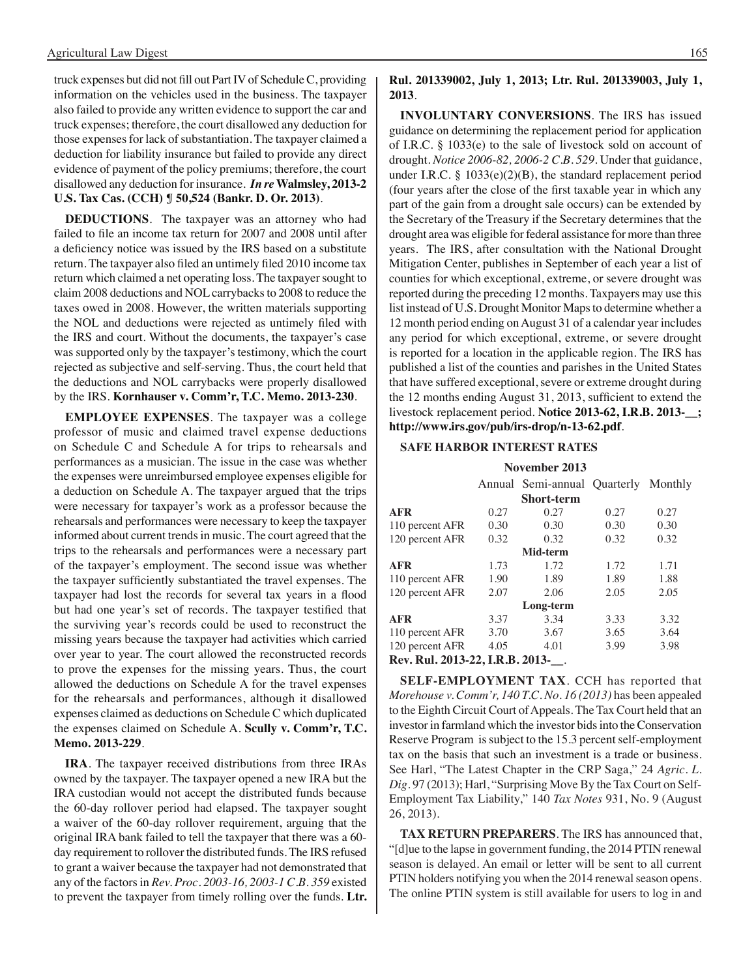truck expenses but did not fill out Part IV of Schedule C, providing information on the vehicles used in the business. The taxpayer also failed to provide any written evidence to support the car and truck expenses; therefore, the court disallowed any deduction for those expenses for lack of substantiation. The taxpayer claimed a deduction for liability insurance but failed to provide any direct evidence of payment of the policy premiums; therefore, the court disallowed any deduction for insurance. *In re* **Walmsley, 2013-2 U.S. Tax Cas. (CCH) ¶ 50,524 (Bankr. D. Or. 2013)**.

**DEDUCTIONS**. The taxpayer was an attorney who had failed to file an income tax return for 2007 and 2008 until after a deficiency notice was issued by the IRS based on a substitute return. The taxpayer also filed an untimely filed 2010 income tax return which claimed a net operating loss. The taxpayer sought to claim 2008 deductions and NOL carrybacks to 2008 to reduce the taxes owed in 2008. However, the written materials supporting the NOL and deductions were rejected as untimely filed with the IRS and court. Without the documents, the taxpayer's case was supported only by the taxpayer's testimony, which the court rejected as subjective and self-serving. Thus, the court held that the deductions and NOL carrybacks were properly disallowed by the IRS. **Kornhauser v. Comm'r, T.C. Memo. 2013-230**.

**EMPLOYEE EXPENSES**. The taxpayer was a college professor of music and claimed travel expense deductions on Schedule C and Schedule A for trips to rehearsals and performances as a musician. The issue in the case was whether the expenses were unreimbursed employee expenses eligible for a deduction on Schedule A. The taxpayer argued that the trips were necessary for taxpayer's work as a professor because the rehearsals and performances were necessary to keep the taxpayer informed about current trends in music. The court agreed that the trips to the rehearsals and performances were a necessary part of the taxpayer's employment. The second issue was whether the taxpayer sufficiently substantiated the travel expenses. The taxpayer had lost the records for several tax years in a flood but had one year's set of records. The taxpayer testified that the surviving year's records could be used to reconstruct the missing years because the taxpayer had activities which carried over year to year. The court allowed the reconstructed records to prove the expenses for the missing years. Thus, the court allowed the deductions on Schedule A for the travel expenses for the rehearsals and performances, although it disallowed expenses claimed as deductions on Schedule C which duplicated the expenses claimed on Schedule A. **Scully v. Comm'r, T.C. Memo. 2013-229**.

**IRA**. The taxpayer received distributions from three IRAs owned by the taxpayer. The taxpayer opened a new IRA but the IRA custodian would not accept the distributed funds because the 60-day rollover period had elapsed. The taxpayer sought a waiver of the 60-day rollover requirement, arguing that the original IRA bank failed to tell the taxpayer that there was a 60 day requirement to rollover the distributed funds. The IRS refused to grant a waiver because the taxpayer had not demonstrated that any of the factors in *Rev. Proc. 2003-16, 2003-1 C.B. 359* existed to prevent the taxpayer from timely rolling over the funds. **Ltr.** 

**Rul. 201339002, July 1, 2013; Ltr. Rul. 201339003, July 1, 2013**.

**INVOLUNTARY CONVERSIONS**. The IRS has issued guidance on determining the replacement period for application of I.R.C. § 1033(e) to the sale of livestock sold on account of drought. *Notice 2006-82, 2006-2 C.B. 529*. Under that guidance, under I.R.C. § 1033(e)(2)(B), the standard replacement period (four years after the close of the first taxable year in which any part of the gain from a drought sale occurs) can be extended by the Secretary of the Treasury if the Secretary determines that the drought area was eligible for federal assistance for more than three years. The IRS, after consultation with the National Drought Mitigation Center, publishes in September of each year a list of counties for which exceptional, extreme, or severe drought was reported during the preceding 12 months. Taxpayers may use this list instead of U.S. Drought Monitor Maps to determine whether a 12 month period ending on August 31 of a calendar year includes any period for which exceptional, extreme, or severe drought is reported for a location in the applicable region. The IRS has published a list of the counties and parishes in the United States that have suffered exceptional, severe or extreme drought during the 12 months ending August 31, 2013, sufficient to extend the livestock replacement period. **Notice 2013-62, I.R.B. 2013-\_\_; http://www.irs.gov/pub/irs-drop/n-13-62.pdf**.

#### **Safe Harbor interest rates**

#### **November 2013**

|                                   |      | Annual Semi-annual Quarterly Monthly |      |      |
|-----------------------------------|------|--------------------------------------|------|------|
|                                   |      | <b>Short-term</b>                    |      |      |
| AFR                               | 0.27 | 0.27                                 | 0.27 | 0.27 |
| 110 percent AFR                   | 0.30 | 0.30                                 | 0.30 | 0.30 |
| 120 percent AFR                   | 0.32 | 0.32                                 | 0.32 | 0.32 |
|                                   |      | Mid-term                             |      |      |
| AFR                               | 1.73 | 1.72                                 | 1.72 | 1.71 |
| 110 percent AFR                   | 1.90 | 1.89                                 | 1.89 | 1.88 |
| 120 percent AFR                   | 2.07 | 2.06                                 | 2.05 | 2.05 |
|                                   |      | Long-term                            |      |      |
| AFR                               | 3.37 | 3.34                                 | 3.33 | 3.32 |
| 110 percent AFR                   | 3.70 | 3.67                                 | 3.65 | 3.64 |
| 120 percent AFR                   | 4.05 | 4.01                                 | 3.99 | 3.98 |
| Rev. Rul. 2013-22, I.R.B. 2013- . |      |                                      |      |      |

**SELF-EMPLOYMENT TAX**. CCH has reported that *Morehouse v. Comm'r, 140 T.C. No. 16 (2013)* has been appealed to the Eighth Circuit Court of Appeals. The Tax Court held that an investor in farmland which the investor bids into the Conservation Reserve Program is subject to the 15.3 percent self-employment tax on the basis that such an investment is a trade or business. See Harl, "The Latest Chapter in the CRP Saga," 24 *Agric. L. Dig*. 97 (2013); Harl, "Surprising Move By the Tax Court on Self-Employment Tax Liability," 140 *Tax Notes* 931, No. 9 (August 26, 2013).

**TAX RETURN PREPARERS**. The IRS has announced that, "[d]ue to the lapse in government funding, the 2014 PTIN renewal season is delayed. An email or letter will be sent to all current PTIN holders notifying you when the 2014 renewal season opens. The online PTIN system is still available for users to log in and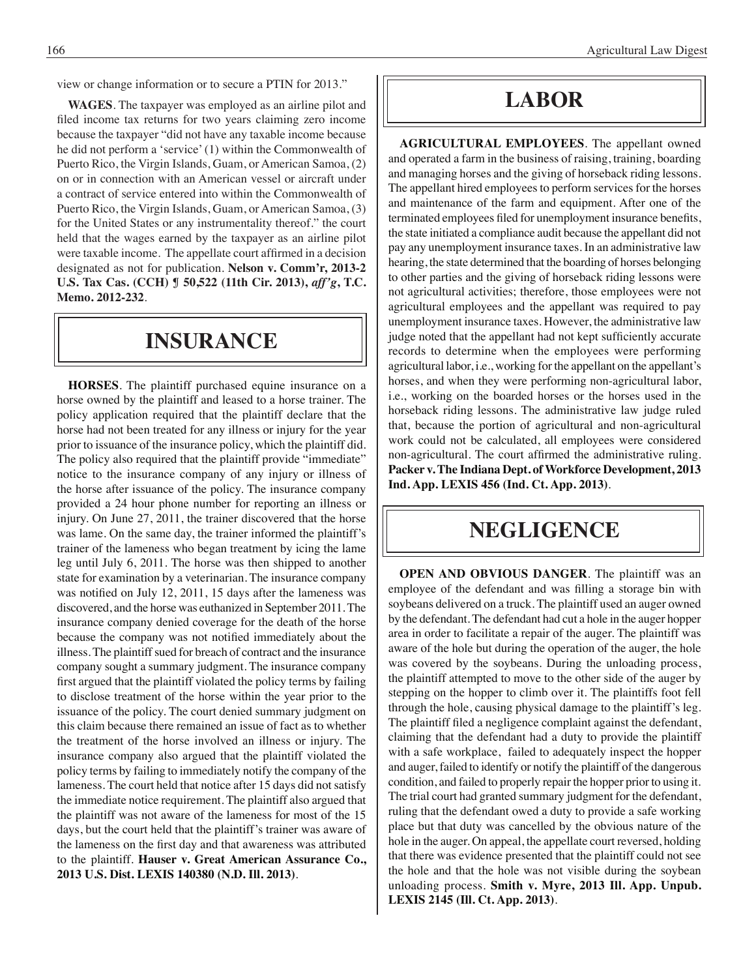view or change information or to secure a PTIN for 2013."

**WAGES**. The taxpayer was employed as an airline pilot and filed income tax returns for two years claiming zero income because the taxpayer "did not have any taxable income because he did not perform a 'service' (1) within the Commonwealth of Puerto Rico, the Virgin Islands, Guam, or American Samoa, (2) on or in connection with an American vessel or aircraft under a contract of service entered into within the Commonwealth of Puerto Rico, the Virgin Islands, Guam, or American Samoa, (3) for the United States or any instrumentality thereof." the court held that the wages earned by the taxpayer as an airline pilot were taxable income. The appellate court affirmed in a decision designated as not for publication. **Nelson v. Comm'r, 2013-2 U.S. Tax Cas. (CCH) ¶ 50,522 (11th Cir. 2013),** *aff'g***, T.C. Memo. 2012-232**.

### **insurance**

**HORSES**. The plaintiff purchased equine insurance on a horse owned by the plaintiff and leased to a horse trainer. The policy application required that the plaintiff declare that the horse had not been treated for any illness or injury for the year prior to issuance of the insurance policy, which the plaintiff did. The policy also required that the plaintiff provide "immediate" notice to the insurance company of any injury or illness of the horse after issuance of the policy. The insurance company provided a 24 hour phone number for reporting an illness or injury. On June 27, 2011, the trainer discovered that the horse was lame. On the same day, the trainer informed the plaintiff's trainer of the lameness who began treatment by icing the lame leg until July 6, 2011. The horse was then shipped to another state for examination by a veterinarian. The insurance company was notified on July 12, 2011, 15 days after the lameness was discovered, and the horse was euthanized in September 2011. The insurance company denied coverage for the death of the horse because the company was not notified immediately about the illness. The plaintiff sued for breach of contract and the insurance company sought a summary judgment. The insurance company first argued that the plaintiff violated the policy terms by failing to disclose treatment of the horse within the year prior to the issuance of the policy. The court denied summary judgment on this claim because there remained an issue of fact as to whether the treatment of the horse involved an illness or injury. The insurance company also argued that the plaintiff violated the policy terms by failing to immediately notify the company of the lameness. The court held that notice after 15 days did not satisfy the immediate notice requirement. The plaintiff also argued that the plaintiff was not aware of the lameness for most of the 15 days, but the court held that the plaintiff's trainer was aware of the lameness on the first day and that awareness was attributed to the plaintiff. **Hauser v. Great American Assurance Co., 2013 U.S. Dist. LEXIS 140380 (N.D. Ill. 2013)**.

### **Labor**

**AGRICULTURAL EMPLOYEES**. The appellant owned and operated a farm in the business of raising, training, boarding and managing horses and the giving of horseback riding lessons. The appellant hired employees to perform services for the horses and maintenance of the farm and equipment. After one of the terminated employees filed for unemployment insurance benefits, the state initiated a compliance audit because the appellant did not pay any unemployment insurance taxes. In an administrative law hearing, the state determined that the boarding of horses belonging to other parties and the giving of horseback riding lessons were not agricultural activities; therefore, those employees were not agricultural employees and the appellant was required to pay unemployment insurance taxes. However, the administrative law judge noted that the appellant had not kept sufficiently accurate records to determine when the employees were performing agricultural labor, i.e., working for the appellant on the appellant's horses, and when they were performing non-agricultural labor, i.e., working on the boarded horses or the horses used in the horseback riding lessons. The administrative law judge ruled that, because the portion of agricultural and non-agricultural work could not be calculated, all employees were considered non-agricultural. The court affirmed the administrative ruling. **Packer v. The Indiana Dept. of Workforce Development, 2013 Ind. App. LEXIS 456 (Ind. Ct. App. 2013)**.

### **negligence**

**OPEN AND OBVIOUS DANGER**. The plaintiff was an employee of the defendant and was filling a storage bin with soybeans delivered on a truck. The plaintiff used an auger owned by the defendant. The defendant had cut a hole in the auger hopper area in order to facilitate a repair of the auger. The plaintiff was aware of the hole but during the operation of the auger, the hole was covered by the soybeans. During the unloading process, the plaintiff attempted to move to the other side of the auger by stepping on the hopper to climb over it. The plaintiffs foot fell through the hole, causing physical damage to the plaintiff's leg. The plaintiff filed a negligence complaint against the defendant, claiming that the defendant had a duty to provide the plaintiff with a safe workplace, failed to adequately inspect the hopper and auger, failed to identify or notify the plaintiff of the dangerous condition, and failed to properly repair the hopper prior to using it. The trial court had granted summary judgment for the defendant, ruling that the defendant owed a duty to provide a safe working place but that duty was cancelled by the obvious nature of the hole in the auger. On appeal, the appellate court reversed, holding that there was evidence presented that the plaintiff could not see the hole and that the hole was not visible during the soybean unloading process. **Smith v. Myre, 2013 Ill. App. Unpub. LEXIS 2145 (Ill. Ct. App. 2013)**.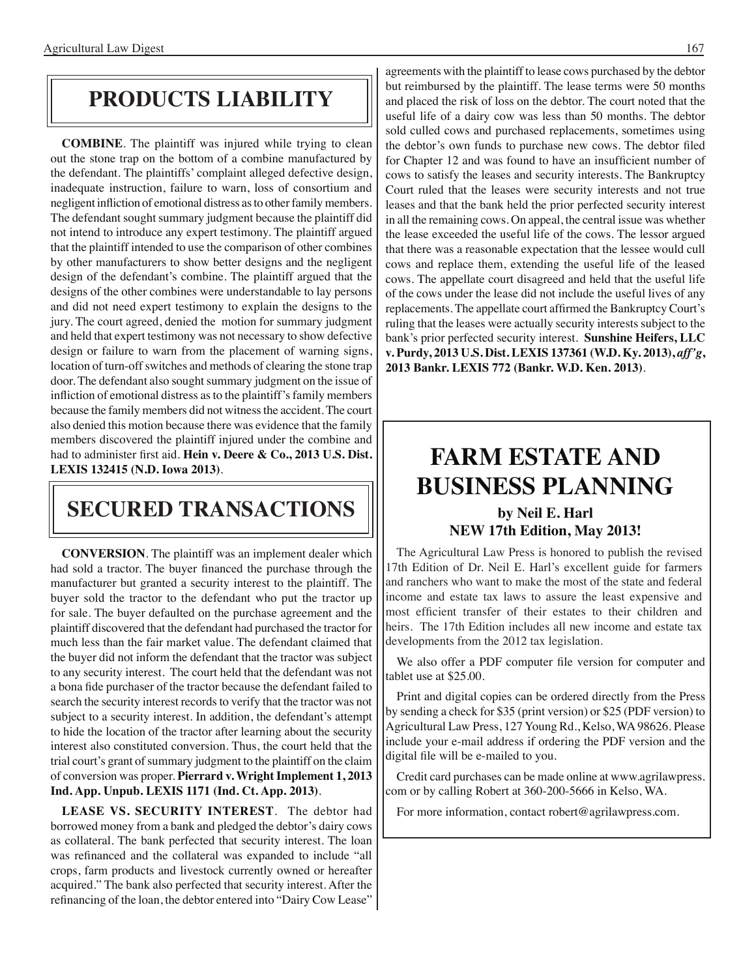### **products liability**

**COMBINE**. The plaintiff was injured while trying to clean out the stone trap on the bottom of a combine manufactured by the defendant. The plaintiffs' complaint alleged defective design, inadequate instruction, failure to warn, loss of consortium and negligent infliction of emotional distress as to other family members. The defendant sought summary judgment because the plaintiff did not intend to introduce any expert testimony. The plaintiff argued that the plaintiff intended to use the comparison of other combines by other manufacturers to show better designs and the negligent design of the defendant's combine. The plaintiff argued that the designs of the other combines were understandable to lay persons and did not need expert testimony to explain the designs to the jury. The court agreed, denied the motion for summary judgment and held that expert testimony was not necessary to show defective design or failure to warn from the placement of warning signs, location of turn-off switches and methods of clearing the stone trap door. The defendant also sought summary judgment on the issue of infliction of emotional distress as to the plaintiff's family members because the family members did not witness the accident. The court also denied this motion because there was evidence that the family members discovered the plaintiff injured under the combine and had to administer first aid. **Hein v. Deere & Co., 2013 U.S. Dist. LEXIS 132415 (N.D. Iowa 2013)**.

### **secured transactions**

**CONVERSION**. The plaintiff was an implement dealer which had sold a tractor. The buyer financed the purchase through the manufacturer but granted a security interest to the plaintiff. The buyer sold the tractor to the defendant who put the tractor up for sale. The buyer defaulted on the purchase agreement and the plaintiff discovered that the defendant had purchased the tractor for much less than the fair market value. The defendant claimed that the buyer did not inform the defendant that the tractor was subject to any security interest. The court held that the defendant was not a bona fide purchaser of the tractor because the defendant failed to search the security interest records to verify that the tractor was not subject to a security interest. In addition, the defendant's attempt to hide the location of the tractor after learning about the security interest also constituted conversion. Thus, the court held that the trial court's grant of summary judgment to the plaintiff on the claim of conversion was proper. **Pierrard v. Wright Implement 1, 2013 Ind. App. Unpub. LEXIS 1171 (Ind. Ct. App. 2013)**.

**LEASE VS. SECURITY INTEREST**. The debtor had borrowed money from a bank and pledged the debtor's dairy cows as collateral. The bank perfected that security interest. The loan was refinanced and the collateral was expanded to include "all crops, farm products and livestock currently owned or hereafter acquired." The bank also perfected that security interest. After the refinancing of the loan, the debtor entered into "Dairy Cow Lease"

agreements with the plaintiff to lease cows purchased by the debtor but reimbursed by the plaintiff. The lease terms were 50 months and placed the risk of loss on the debtor. The court noted that the useful life of a dairy cow was less than 50 months. The debtor sold culled cows and purchased replacements, sometimes using the debtor's own funds to purchase new cows. The debtor filed for Chapter 12 and was found to have an insufficient number of cows to satisfy the leases and security interests. The Bankruptcy Court ruled that the leases were security interests and not true leases and that the bank held the prior perfected security interest in all the remaining cows. On appeal, the central issue was whether the lease exceeded the useful life of the cows. The lessor argued that there was a reasonable expectation that the lessee would cull cows and replace them, extending the useful life of the leased cows. The appellate court disagreed and held that the useful life of the cows under the lease did not include the useful lives of any replacements. The appellate court affirmed the Bankruptcy Court's ruling that the leases were actually security interests subject to the bank's prior perfected security interest. **Sunshine Heifers, LLC v. Purdy, 2013 U.S. Dist. LEXIS 137361 (W.D. Ky. 2013),** *aff'g***, 2013 Bankr. LEXIS 772 (Bankr. W.D. Ken. 2013)**.

## **FARM ESTATE AND BUSINESS PLANNING**

#### **by Neil E. Harl NEW 17th Edition, May 2013!**

The Agricultural Law Press is honored to publish the revised 17th Edition of Dr. Neil E. Harl's excellent guide for farmers and ranchers who want to make the most of the state and federal income and estate tax laws to assure the least expensive and most efficient transfer of their estates to their children and heirs. The 17th Edition includes all new income and estate tax developments from the 2012 tax legislation.

We also offer a PDF computer file version for computer and tablet use at \$25.00.

Print and digital copies can be ordered directly from the Press by sending a check for \$35 (print version) or \$25 (PDF version) to Agricultural Law Press, 127 Young Rd., Kelso, WA 98626. Please include your e-mail address if ordering the PDF version and the digital file will be e-mailed to you.

Credit card purchases can be made online at www.agrilawpress. com or by calling Robert at 360-200-5666 in Kelso, WA.

For more information, contact robert@agrilawpress.com.